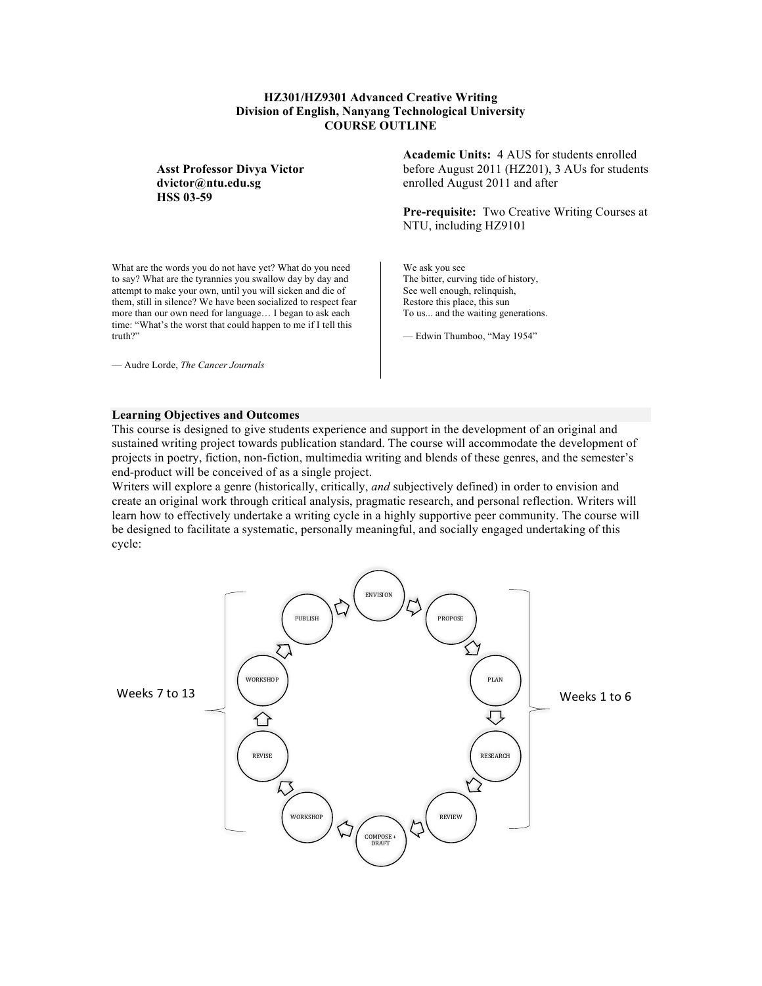# **HZ301/HZ9301 Advanced Creative Writing Division of English, Nanyang Technological University COURSE OUTLINE**

**Asst Professor Divya Victor dvictor@ntu.edu.sg HSS 03-59**

What are the words you do not have yet? What do you need to say? What are the tyrannies you swallow day by day and attempt to make your own, until you will sicken and die of them, still in silence? We have been socialized to respect fear more than our own need for language… I began to ask each time: "What's the worst that could happen to me if I tell this truth?"

— Audre Lorde, *The Cancer Journals*

**Academic Units:** 4 AUS for students enrolled before August 2011 (HZ201), 3 AUs for students enrolled August 2011 and after

**Pre-requisite:** Two Creative Writing Courses at NTU, including HZ9101

We ask you see The bitter, curving tide of history, See well enough, relinquish, Restore this place, this sun To us... and the waiting generations.

— Edwin Thumboo, "May 1954"

#### **Learning Objectives and Outcomes**

This course is designed to give students experience and support in the development of an original and sustained writing project towards publication standard. The course will accommodate the development of projects in poetry, fiction, non-fiction, multimedia writing and blends of these genres, and the semester's end-product will be conceived of as a single project.

Writers will explore a genre (historically, critically, *and* subjectively defined) in order to envision and create an original work through critical analysis, pragmatic research, and personal reflection. Writers will learn how to effectively undertake a writing cycle in a highly supportive peer community. The course will be designed to facilitate a systematic, personally meaningful, and socially engaged undertaking of this cycle:

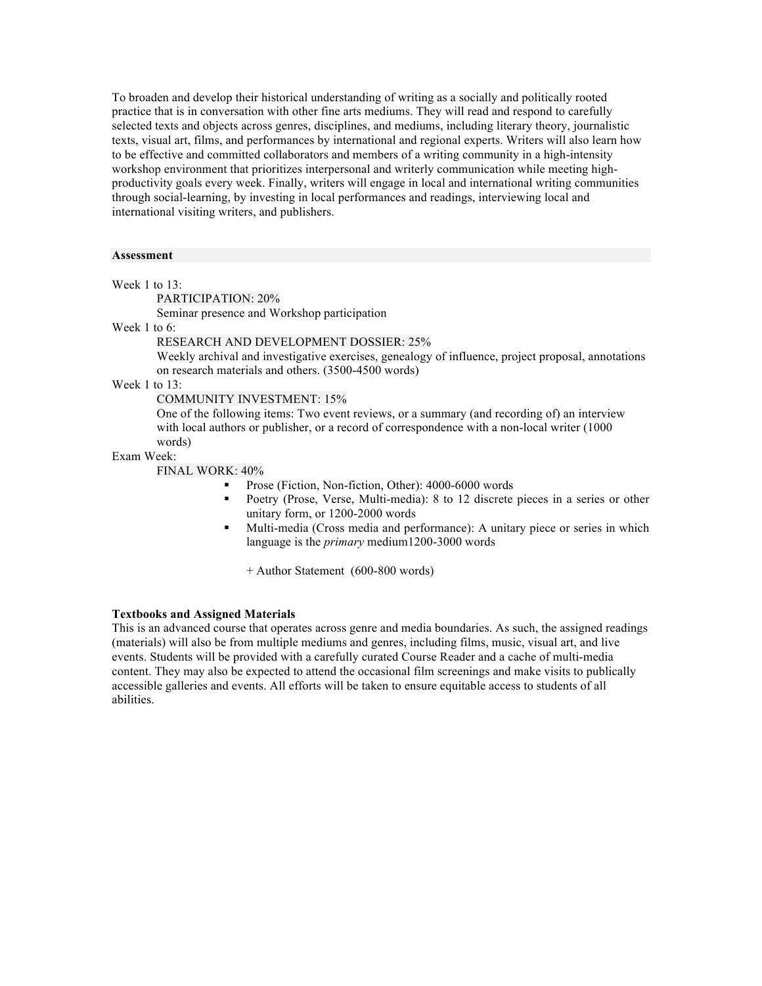To broaden and develop their historical understanding of writing as a socially and politically rooted practice that is in conversation with other fine arts mediums. They will read and respond to carefully selected texts and objects across genres, disciplines, and mediums, including literary theory, journalistic texts, visual art, films, and performances by international and regional experts. Writers will also learn how to be effective and committed collaborators and members of a writing community in a high-intensity workshop environment that prioritizes interpersonal and writerly communication while meeting highproductivity goals every week. Finally, writers will engage in local and international writing communities through social-learning, by investing in local performances and readings, interviewing local and international visiting writers, and publishers.

## **Assessment**

Week 1 to 13:

PARTICIPATION: 20%

Seminar presence and Workshop participation

# Week 1 to 6:

## RESEARCH AND DEVELOPMENT DOSSIER: 25%

Weekly archival and investigative exercises, genealogy of influence, project proposal, annotations on research materials and others. (3500-4500 words)

Week 1 to 13:

COMMUNITY INVESTMENT: 15%

One of the following items: Two event reviews, or a summary (and recording of) an interview with local authors or publisher, or a record of correspondence with a non-local writer (1000 words)

#### Exam Week:

FINAL WORK: 40%

- § Prose (Fiction, Non-fiction, Other): 4000-6000 words
- Poetry (Prose, Verse, Multi-media): 8 to 12 discrete pieces in a series or other unitary form, or 1200-2000 words
- § Multi-media (Cross media and performance): A unitary piece or series in which language is the *primary* medium1200-3000 words

+ Author Statement (600-800 words)

#### **Textbooks and Assigned Materials**

This is an advanced course that operates across genre and media boundaries. As such, the assigned readings (materials) will also be from multiple mediums and genres, including films, music, visual art, and live events. Students will be provided with a carefully curated Course Reader and a cache of multi-media content. They may also be expected to attend the occasional film screenings and make visits to publically accessible galleries and events. All efforts will be taken to ensure equitable access to students of all abilities.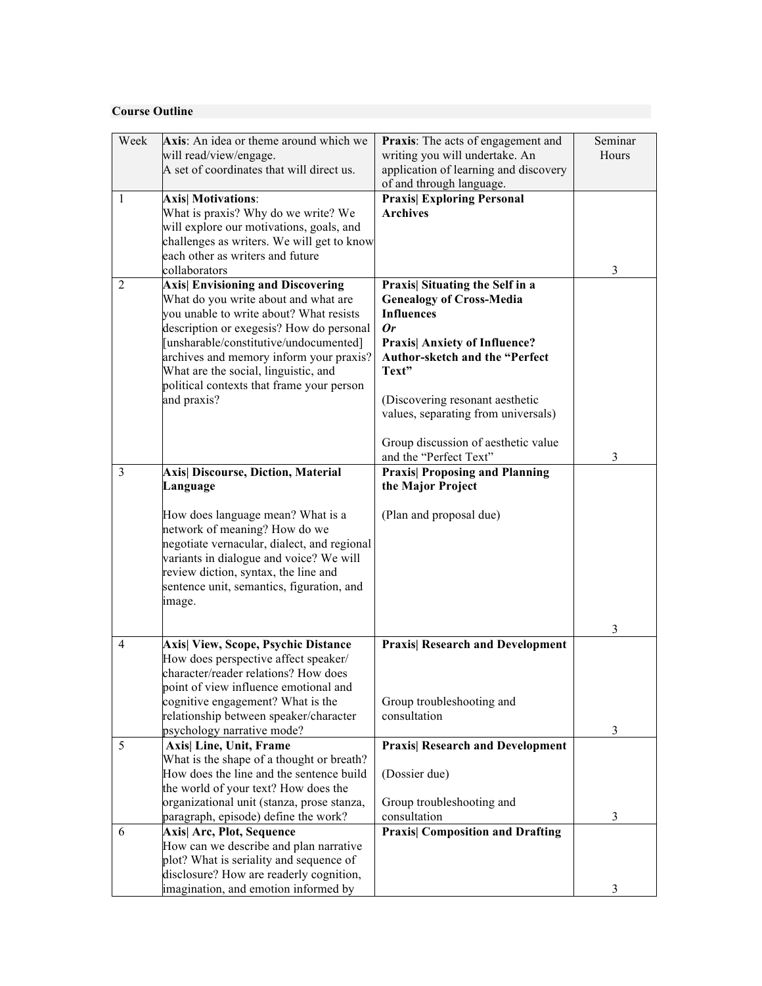# **Course Outline**

| Week           | Axis: An idea or theme around which we                                             | Praxis: The acts of engagement and                            | Seminar |
|----------------|------------------------------------------------------------------------------------|---------------------------------------------------------------|---------|
|                | will read/view/engage.                                                             | writing you will undertake. An                                | Hours   |
|                | A set of coordinates that will direct us.                                          | application of learning and discovery                         |         |
|                |                                                                                    | of and through language.                                      |         |
| 1              | <b>Axis</b> Motivations:                                                           | <b>Praxis Exploring Personal</b>                              |         |
|                | What is praxis? Why do we write? We                                                | <b>Archives</b>                                               |         |
|                | will explore our motivations, goals, and                                           |                                                               |         |
|                | challenges as writers. We will get to know<br>each other as writers and future     |                                                               |         |
|                | collaborators                                                                      |                                                               | 3       |
| $\overline{2}$ | <b>Axis</b> Envisioning and Discovering                                            | Praxis  Situating the Self in a                               |         |
|                | What do you write about and what are                                               | <b>Genealogy of Cross-Media</b>                               |         |
|                | you unable to write about? What resists                                            | <b>Influences</b>                                             |         |
|                | description or exegesis? How do personal                                           | $\boldsymbol{0}r$                                             |         |
|                | [unsharable/constitutive/undocumented]                                             | <b>Praxis  Anxiety of Influence?</b>                          |         |
|                | archives and memory inform your praxis?                                            | Author-sketch and the "Perfect                                |         |
|                | What are the social, linguistic, and                                               | Text"                                                         |         |
|                | political contexts that frame your person                                          |                                                               |         |
|                | and praxis?                                                                        | (Discovering resonant aesthetic                               |         |
|                |                                                                                    | values, separating from universals)                           |         |
|                |                                                                                    |                                                               |         |
|                |                                                                                    | Group discussion of aesthetic value<br>and the "Perfect Text" | 3       |
| $\overline{3}$ | Axis  Discourse, Diction, Material                                                 | <b>Praxis  Proposing and Planning</b>                         |         |
|                | Language                                                                           | the Major Project                                             |         |
|                |                                                                                    |                                                               |         |
|                | How does language mean? What is a                                                  | (Plan and proposal due)                                       |         |
|                | network of meaning? How do we                                                      |                                                               |         |
|                | negotiate vernacular, dialect, and regional                                        |                                                               |         |
|                | variants in dialogue and voice? We will                                            |                                                               |         |
|                | review diction, syntax, the line and                                               |                                                               |         |
|                | sentence unit, semantics, figuration, and                                          |                                                               |         |
|                | image.                                                                             |                                                               |         |
|                |                                                                                    |                                                               |         |
| 4              |                                                                                    | <b>Praxis  Research and Development</b>                       | 3       |
|                | Axis  View, Scope, Psychic Distance<br>How does perspective affect speaker/        |                                                               |         |
|                | character/reader relations? How does                                               |                                                               |         |
|                | point of view influence emotional and                                              |                                                               |         |
|                | cognitive engagement? What is the                                                  | Group troubleshooting and                                     |         |
|                | relationship between speaker/character                                             | consultation                                                  |         |
|                | psychology narrative mode?                                                         |                                                               | 3       |
| 5              | Axis  Line, Unit, Frame                                                            | <b>Praxis  Research and Development</b>                       |         |
|                | What is the shape of a thought or breath?                                          |                                                               |         |
|                | How does the line and the sentence build                                           | (Dossier due)                                                 |         |
|                | the world of your text? How does the                                               |                                                               |         |
|                | organizational unit (stanza, prose stanza,<br>paragraph, episode) define the work? | Group troubleshooting and<br>consultation                     | 3       |
| 6              | Axis  Arc, Plot, Sequence                                                          | <b>Praxis</b> Composition and Drafting                        |         |
|                | How can we describe and plan narrative                                             |                                                               |         |
|                | plot? What is seriality and sequence of                                            |                                                               |         |
|                | disclosure? How are readerly cognition,                                            |                                                               |         |
|                | imagination, and emotion informed by                                               |                                                               | 3       |